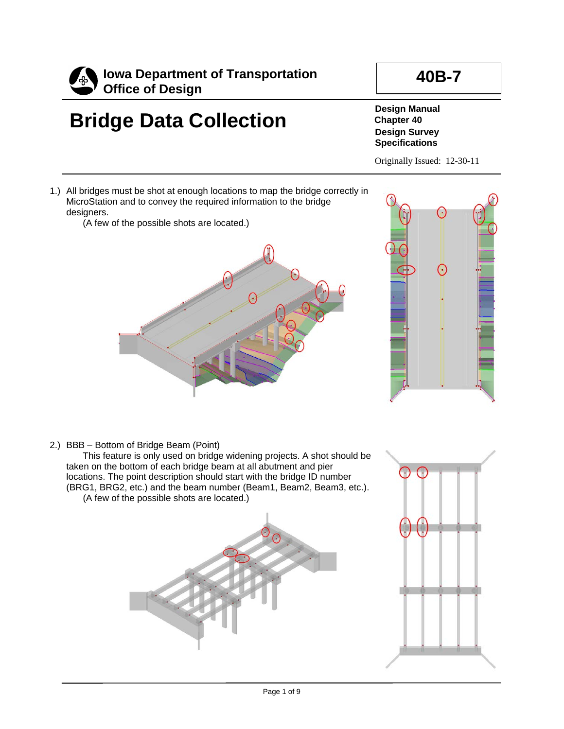

# **Bridge Data Collection**

**40B-7**

**Design Manual Chapter 40 Design Survey Specifications**

Originally Issued: 12-30-11

1.) All bridges must be shot at enough locations to map the bridge correctly in MicroStation and to convey the required information to the bridge designers.

(A few of the possible shots are located.)





2.) BBB – Bottom of Bridge Beam (Point)

This feature is only used on bridge widening projects. A shot should be taken on the bottom of each bridge beam at all abutment and pier locations. The point description should start with the bridge ID number (BRG1, BRG2, etc.) and the beam number (Beam1, Beam2, Beam3, etc.). (A few of the possible shots are located.)

![](_page_0_Picture_11.jpeg)

![](_page_0_Picture_12.jpeg)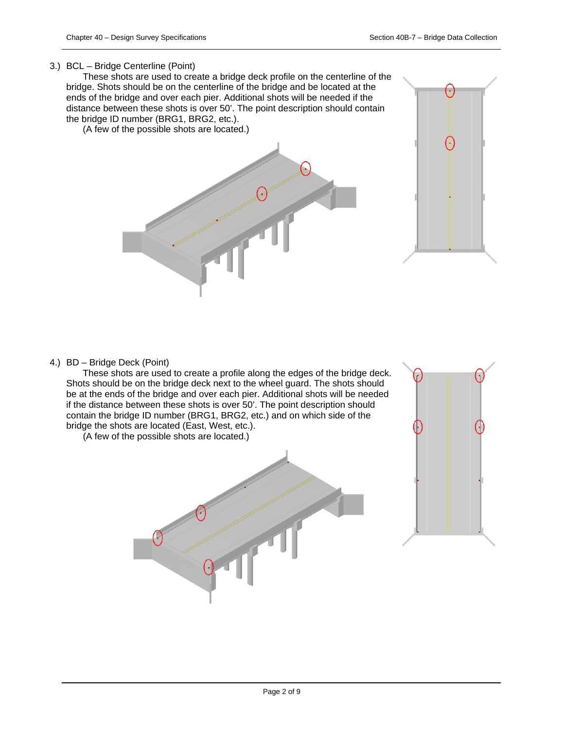#### 3.) BCL – Bridge Centerline (Point)

These shots are used to create a bridge deck profile on the centerline of the bridge. Shots should be on the centerline of the bridge and be located at the ends of the bridge and over each pier. Additional shots will be needed if the distance between these shots is over 50'. The point description should contain the bridge ID number (BRG1, BRG2, etc.).

(A few of the possible shots are located.)

![](_page_1_Picture_6.jpeg)

4.) BD – Bridge Deck (Point)

These shots are used to create a profile along the edges of the bridge deck. Shots should be on the bridge deck next to the wheel guard. The shots should be at the ends of the bridge and over each pier. Additional shots will be needed if the distance between these shots is over 50'. The point description should contain the bridge ID number (BRG1, BRG2, etc.) and on which side of the bridge the shots are located (East, West, etc.).

(A few of the possible shots are located.)

![](_page_1_Picture_10.jpeg)

![](_page_1_Picture_11.jpeg)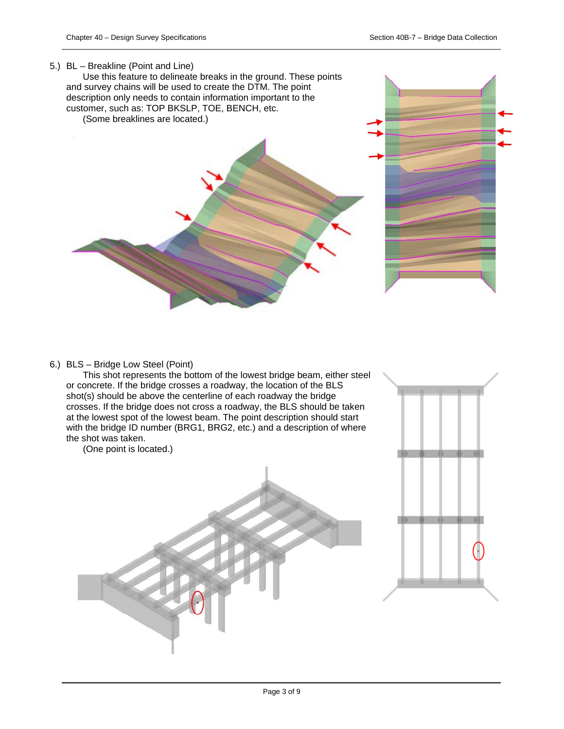#### 5.) BL – Breakline (Point and Line)

Use this feature to delineate breaks in the ground. These points and survey chains will be used to create the DTM. The point description only needs to contain information important to the customer, such as: TOP BKSLP, TOE, BENCH, etc. (Some breaklines are located.)

![](_page_2_Picture_4.jpeg)

6.) BLS – Bridge Low Steel (Point)

This shot represents the bottom of the lowest bridge beam, either steel or concrete. If the bridge crosses a roadway, the location of the BLS shot(s) should be above the centerline of each roadway the bridge crosses. If the bridge does not cross a roadway, the BLS should be taken at the lowest spot of the lowest beam. The point description should start with the bridge ID number (BRG1, BRG2, etc.) and a description of where the shot was taken.

(One point is located.)

![](_page_2_Picture_8.jpeg)

![](_page_2_Figure_9.jpeg)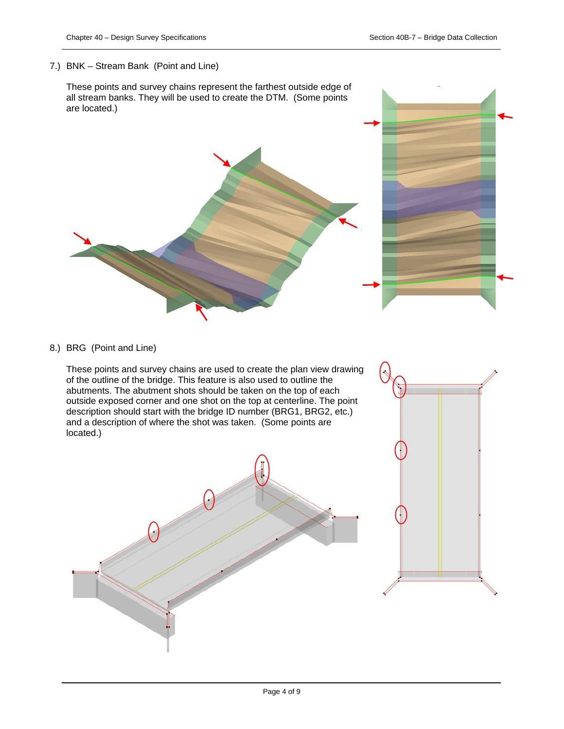### 7.) BNK – Stream Bank (Point and Line)

These points and survey chains represent the farthest outside edge of all stream banks. They will be used to create the DTM. (Some points are located.)

![](_page_3_Picture_4.jpeg)

8.) BRG (Point and Line)

These points and survey chains are used to create the plan view drawing of the outline of the bridge. This feature is also used to outline the abutments. The abutment shots should be taken on the top of each outside exposed corner and one shot on the top at centerline. The point description should start with the bridge ID number (BRG1, BRG2, etc.) and a description of where the shot was taken. (Some points are located.)

![](_page_3_Figure_7.jpeg)

![](_page_3_Picture_8.jpeg)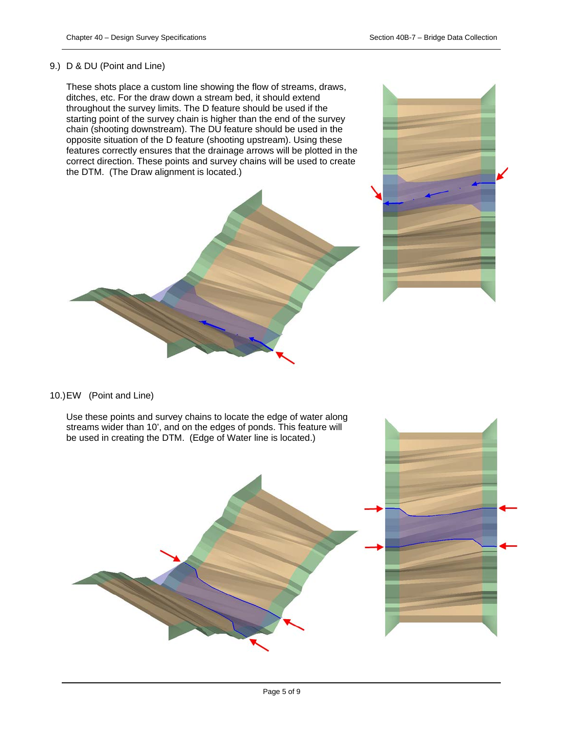#### 9.) D & DU (Point and Line)

These shots place a custom line showing the flow of streams, draws, ditches, etc. For the draw down a stream bed, it should extend throughout the survey limits. The D feature should be used if the starting point of the survey chain is higher than the end of the survey chain (shooting downstream). The DU feature should be used in the opposite situation of the D feature (shooting upstream). Using these features correctly ensures that the drainage arrows will be plotted in the correct direction. These points and survey chains will be used to create the DTM. (The Draw alignment is located.)

![](_page_4_Picture_4.jpeg)

#### 10.)EW (Point and Line)

Use these points and survey chains to locate the edge of water along streams wider than 10', and on the edges of ponds. This feature will be used in creating the DTM. (Edge of Water line is located.)

![](_page_4_Picture_7.jpeg)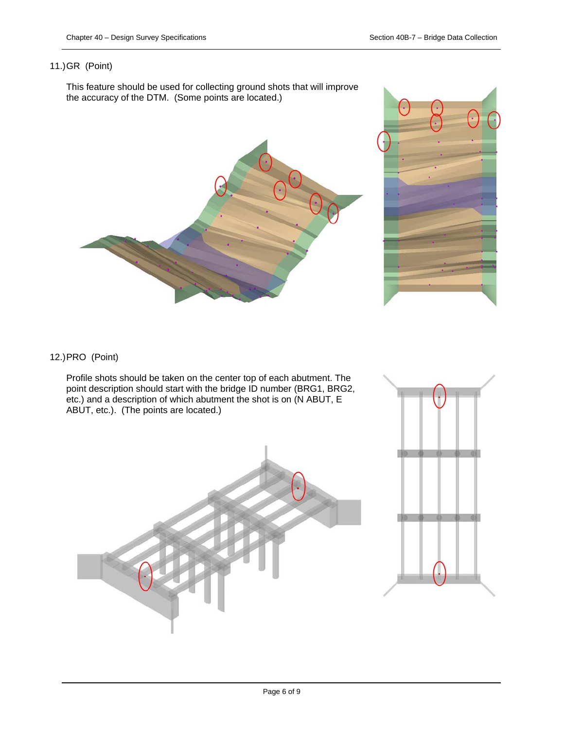#### 11.)GR (Point)

This feature should be used for collecting ground shots that will improve the accuracy of the DTM. (Some points are located.)

![](_page_5_Picture_4.jpeg)

![](_page_5_Picture_5.jpeg)

### 12.)PRO (Point)

Profile shots should be taken on the center top of each abutment. The point description should start with the bridge ID number (BRG1, BRG2, etc.) and a description of which abutment the shot is on (N ABUT, E ABUT, etc.). (The points are located.)

![](_page_5_Picture_8.jpeg)

![](_page_5_Figure_9.jpeg)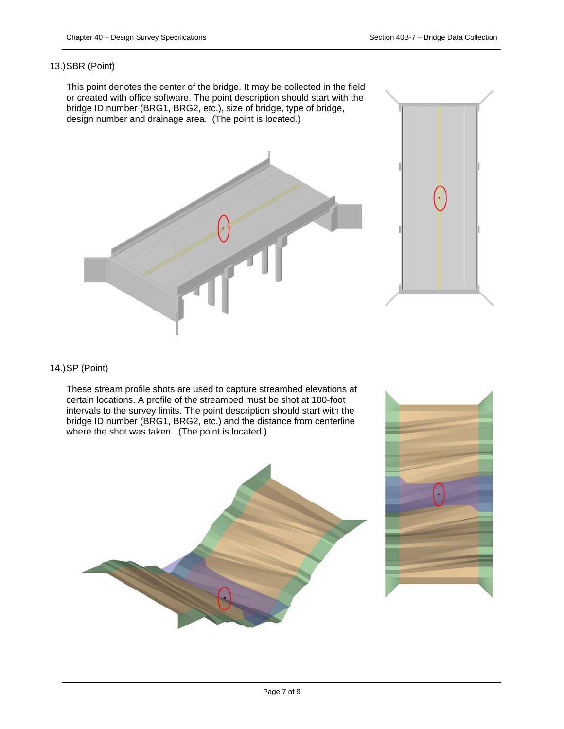#### 13.)SBR (Point)

This point denotes the center of the bridge. It may be collected in the field or created with office software. The point description should start with the bridge ID number (BRG1, BRG2, etc.), size of bridge, type of bridge, design number and drainage area. (The point is located.)

![](_page_6_Picture_4.jpeg)

![](_page_6_Picture_5.jpeg)

#### 14.)SP (Point)

These stream profile shots are used to capture streambed elevations at certain locations. A profile of the streambed must be shot at 100-foot intervals to the survey limits. The point description should start with the bridge ID number (BRG1, BRG2, etc.) and the distance from centerline where the shot was taken. (The point is located.)

![](_page_6_Picture_8.jpeg)

![](_page_6_Picture_9.jpeg)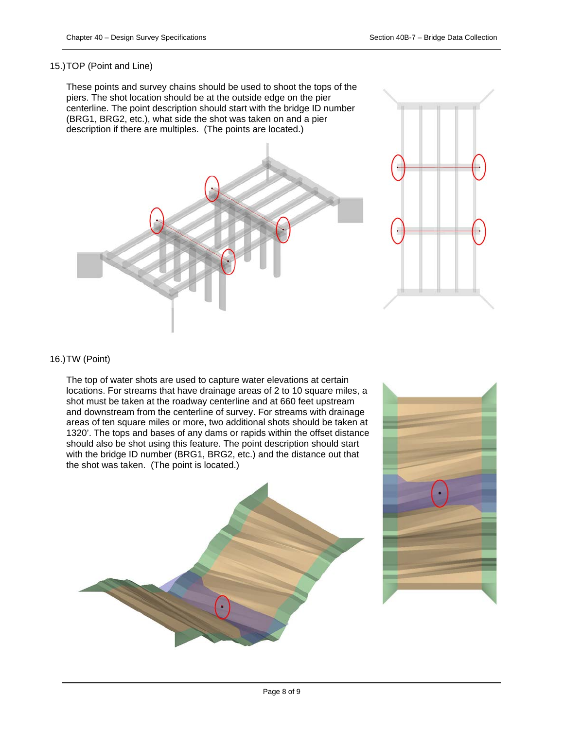#### 15.)TOP (Point and Line)

These points and survey chains should be used to shoot the tops of the piers. The shot location should be at the outside edge on the pier centerline. The point description should start with the bridge ID number (BRG1, BRG2, etc.), what side the shot was taken on and a pier description if there are multiples. (The points are located.)

![](_page_7_Picture_4.jpeg)

![](_page_7_Figure_5.jpeg)

#### 16.)TW (Point)

The top of water shots are used to capture water elevations at certain locations. For streams that have drainage areas of 2 to 10 square miles, a shot must be taken at the roadway centerline and at 660 feet upstream and downstream from the centerline of survey. For streams with drainage areas of ten square miles or more, two additional shots should be taken at 1320'. The tops and bases of any dams or rapids within the offset distance should also be shot using this feature. The point description should start with the bridge ID number (BRG1, BRG2, etc.) and the distance out that the shot was taken. (The point is located.)

![](_page_7_Picture_8.jpeg)

![](_page_7_Picture_9.jpeg)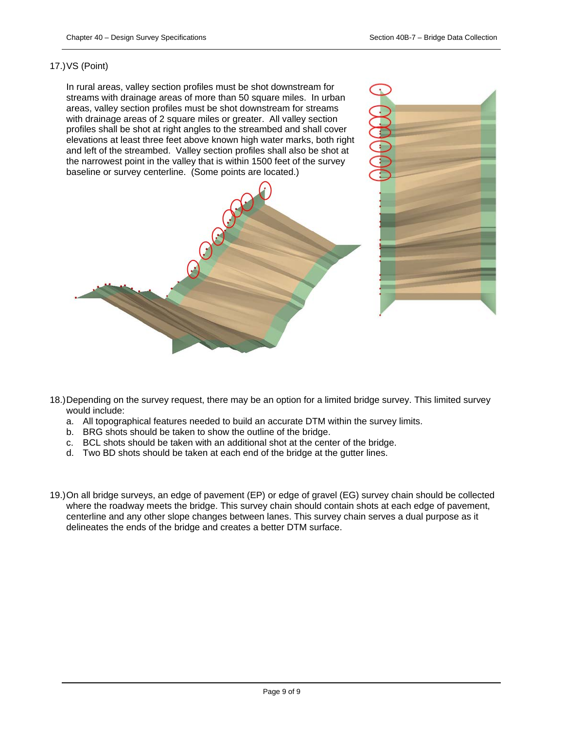#### 17.)VS (Point)

In rural areas, valley section profiles must be shot downstream for streams with drainage areas of more than 50 square miles. In urban areas, valley section profiles must be shot downstream for streams with drainage areas of 2 square miles or greater. All valley section profiles shall be shot at right angles to the streambed and shall cover elevations at least three feet above known high water marks, both right and left of the streambed. Valley section profiles shall also be shot at the narrowest point in the valley that is within 1500 feet of the survey baseline or survey centerline. (Some points are located.)

![](_page_8_Picture_4.jpeg)

- 18.)Depending on the survey request, there may be an option for a limited bridge survey. This limited survey would include:
	- a. All topographical features needed to build an accurate DTM within the survey limits.
	- b. BRG shots should be taken to show the outline of the bridge.
	- c. BCL shots should be taken with an additional shot at the center of the bridge.
	- d. Two BD shots should be taken at each end of the bridge at the gutter lines.
- 19.)On all bridge surveys, an edge of pavement (EP) or edge of gravel (EG) survey chain should be collected where the roadway meets the bridge. This survey chain should contain shots at each edge of pavement, centerline and any other slope changes between lanes. This survey chain serves a dual purpose as it delineates the ends of the bridge and creates a better DTM surface.